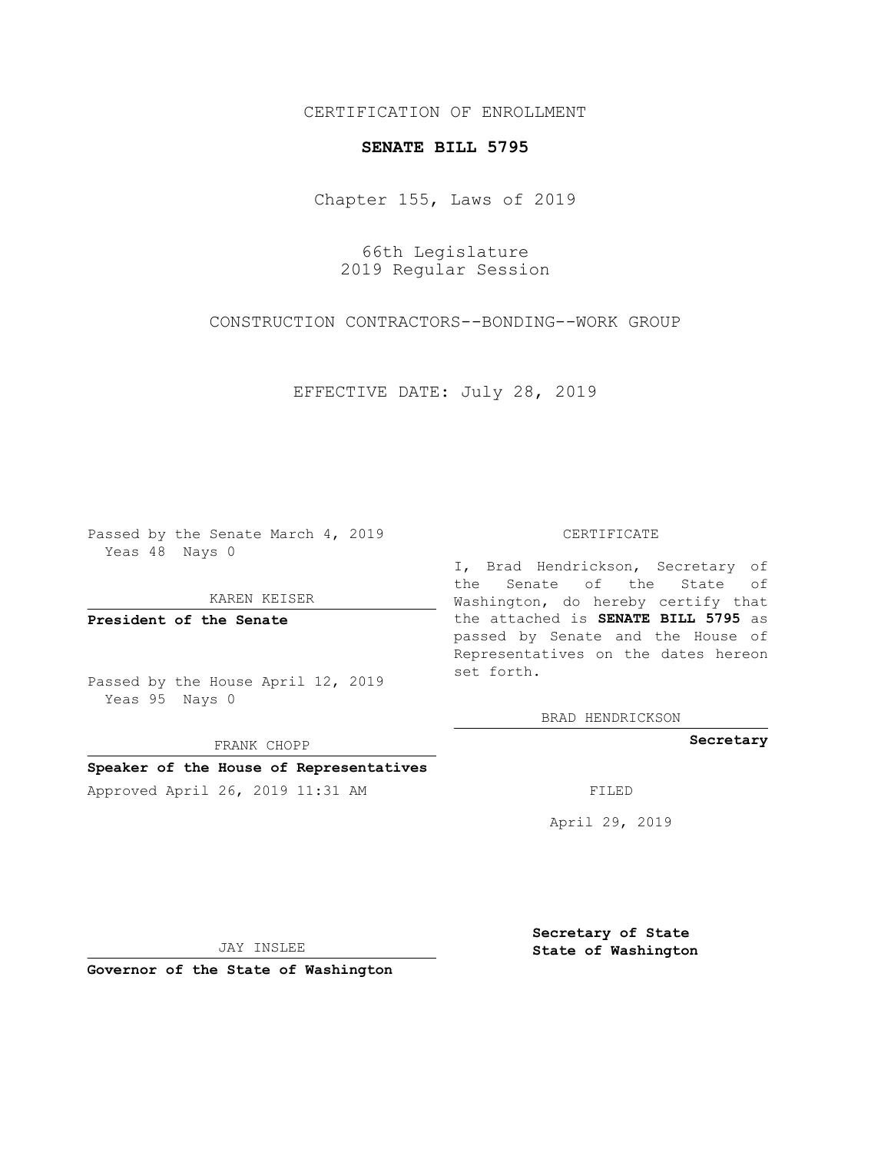CERTIFICATION OF ENROLLMENT

## **SENATE BILL 5795**

Chapter 155, Laws of 2019

66th Legislature 2019 Regular Session

CONSTRUCTION CONTRACTORS--BONDING--WORK GROUP

EFFECTIVE DATE: July 28, 2019

Passed by the Senate March 4, 2019 Yeas 48 Nays 0

KAREN KEISER

**President of the Senate**

Passed by the House April 12, 2019 Yeas 95 Nays 0

FRANK CHOPP

## **Speaker of the House of Representatives**

Approved April 26, 2019 11:31 AM FILED

## CERTIFICATE

I, Brad Hendrickson, Secretary of the Senate of the State of Washington, do hereby certify that the attached is **SENATE BILL 5795** as passed by Senate and the House of Representatives on the dates hereon set forth.

BRAD HENDRICKSON

**Secretary**

April 29, 2019

JAY INSLEE

**Governor of the State of Washington**

**Secretary of State State of Washington**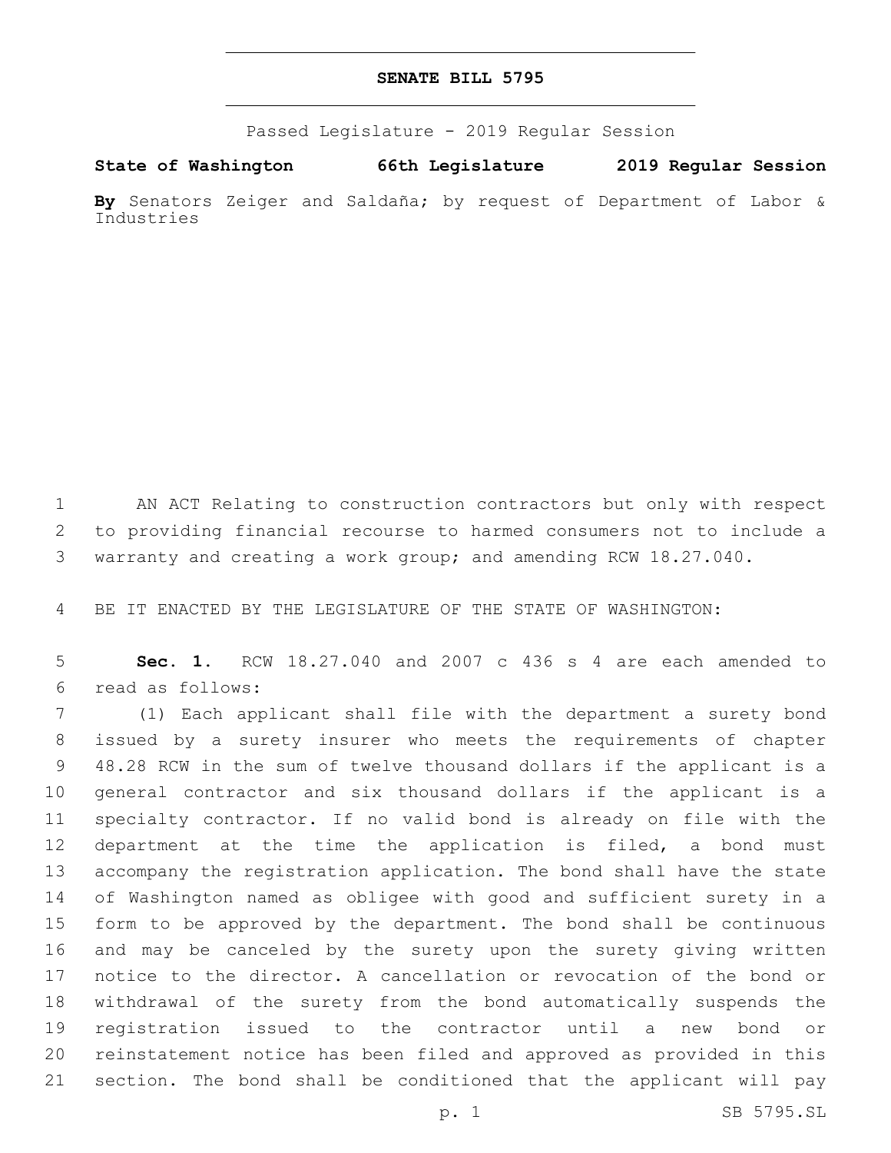## **SENATE BILL 5795**

Passed Legislature - 2019 Regular Session

**State of Washington 66th Legislature 2019 Regular Session By** Senators Zeiger and Saldaña; by request of Department of Labor &

Industries

 AN ACT Relating to construction contractors but only with respect to providing financial recourse to harmed consumers not to include a warranty and creating a work group; and amending RCW 18.27.040.

BE IT ENACTED BY THE LEGISLATURE OF THE STATE OF WASHINGTON:

 **Sec. 1.** RCW 18.27.040 and 2007 c 436 s 4 are each amended to read as follows:6

 (1) Each applicant shall file with the department a surety bond issued by a surety insurer who meets the requirements of chapter 48.28 RCW in the sum of twelve thousand dollars if the applicant is a general contractor and six thousand dollars if the applicant is a specialty contractor. If no valid bond is already on file with the department at the time the application is filed, a bond must accompany the registration application. The bond shall have the state of Washington named as obligee with good and sufficient surety in a form to be approved by the department. The bond shall be continuous and may be canceled by the surety upon the surety giving written notice to the director. A cancellation or revocation of the bond or withdrawal of the surety from the bond automatically suspends the registration issued to the contractor until a new bond or reinstatement notice has been filed and approved as provided in this section. The bond shall be conditioned that the applicant will pay

p. 1 SB 5795.SL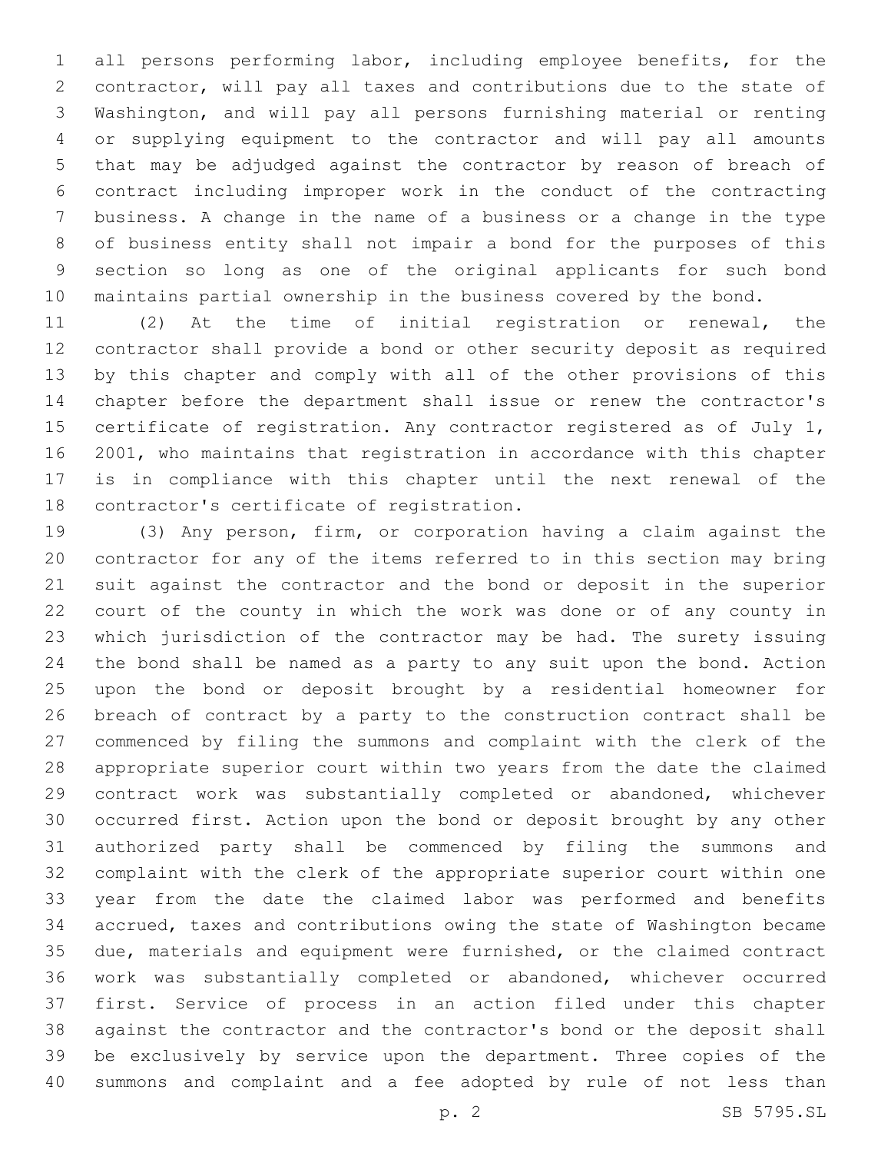all persons performing labor, including employee benefits, for the contractor, will pay all taxes and contributions due to the state of Washington, and will pay all persons furnishing material or renting or supplying equipment to the contractor and will pay all amounts that may be adjudged against the contractor by reason of breach of contract including improper work in the conduct of the contracting business. A change in the name of a business or a change in the type of business entity shall not impair a bond for the purposes of this section so long as one of the original applicants for such bond maintains partial ownership in the business covered by the bond.

 (2) At the time of initial registration or renewal, the contractor shall provide a bond or other security deposit as required by this chapter and comply with all of the other provisions of this chapter before the department shall issue or renew the contractor's 15 certificate of registration. Any contractor registered as of July 1, 2001, who maintains that registration in accordance with this chapter is in compliance with this chapter until the next renewal of the 18 contractor's certificate of registration.

 (3) Any person, firm, or corporation having a claim against the contractor for any of the items referred to in this section may bring suit against the contractor and the bond or deposit in the superior court of the county in which the work was done or of any county in which jurisdiction of the contractor may be had. The surety issuing the bond shall be named as a party to any suit upon the bond. Action upon the bond or deposit brought by a residential homeowner for breach of contract by a party to the construction contract shall be commenced by filing the summons and complaint with the clerk of the appropriate superior court within two years from the date the claimed contract work was substantially completed or abandoned, whichever occurred first. Action upon the bond or deposit brought by any other authorized party shall be commenced by filing the summons and complaint with the clerk of the appropriate superior court within one year from the date the claimed labor was performed and benefits accrued, taxes and contributions owing the state of Washington became due, materials and equipment were furnished, or the claimed contract work was substantially completed or abandoned, whichever occurred first. Service of process in an action filed under this chapter against the contractor and the contractor's bond or the deposit shall be exclusively by service upon the department. Three copies of the summons and complaint and a fee adopted by rule of not less than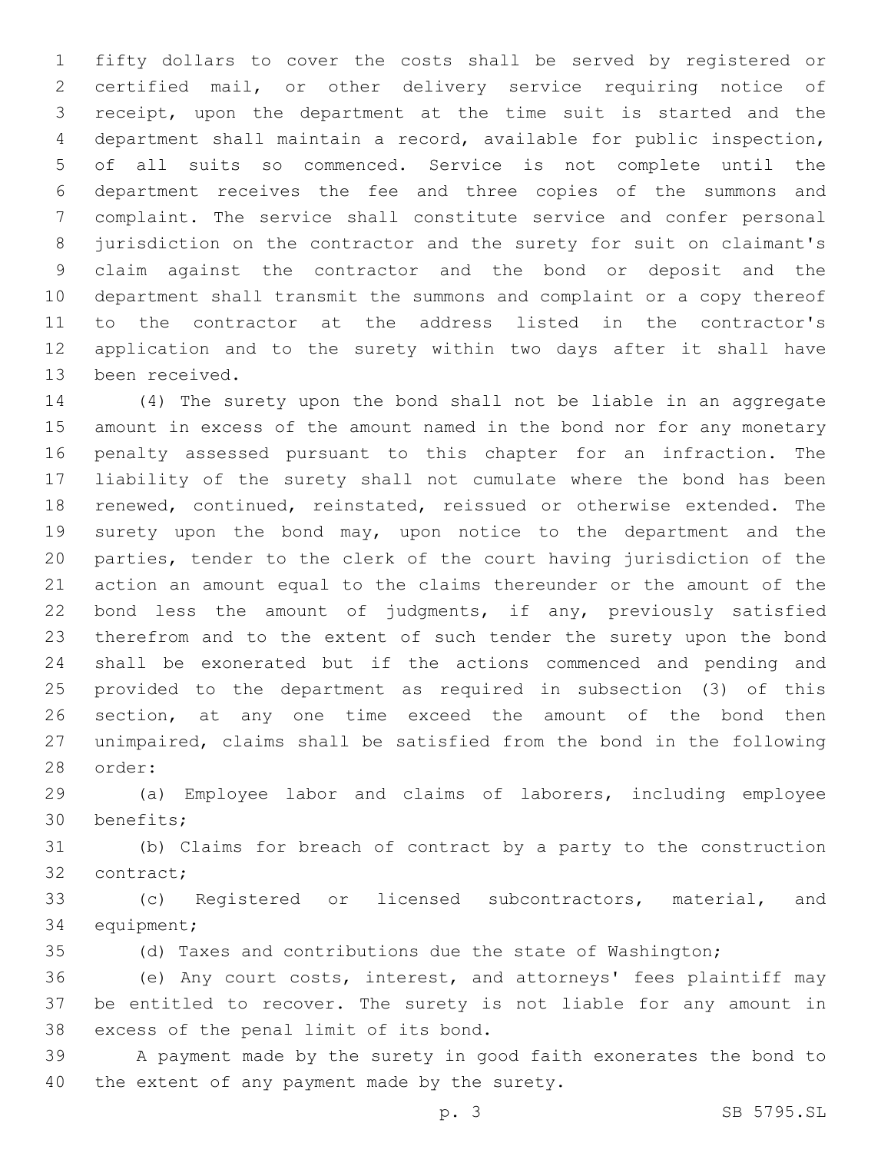fifty dollars to cover the costs shall be served by registered or certified mail, or other delivery service requiring notice of receipt, upon the department at the time suit is started and the department shall maintain a record, available for public inspection, of all suits so commenced. Service is not complete until the department receives the fee and three copies of the summons and complaint. The service shall constitute service and confer personal jurisdiction on the contractor and the surety for suit on claimant's claim against the contractor and the bond or deposit and the department shall transmit the summons and complaint or a copy thereof to the contractor at the address listed in the contractor's application and to the surety within two days after it shall have 13 been received.

 (4) The surety upon the bond shall not be liable in an aggregate amount in excess of the amount named in the bond nor for any monetary penalty assessed pursuant to this chapter for an infraction. The liability of the surety shall not cumulate where the bond has been renewed, continued, reinstated, reissued or otherwise extended. The 19 surety upon the bond may, upon notice to the department and the parties, tender to the clerk of the court having jurisdiction of the action an amount equal to the claims thereunder or the amount of the bond less the amount of judgments, if any, previously satisfied therefrom and to the extent of such tender the surety upon the bond shall be exonerated but if the actions commenced and pending and provided to the department as required in subsection (3) of this section, at any one time exceed the amount of the bond then unimpaired, claims shall be satisfied from the bond in the following 28 order:

 (a) Employee labor and claims of laborers, including employee 30 benefits;

 (b) Claims for breach of contract by a party to the construction 32 contract;

 (c) Registered or licensed subcontractors, material, and 34 equipment;

(d) Taxes and contributions due the state of Washington;

 (e) Any court costs, interest, and attorneys' fees plaintiff may be entitled to recover. The surety is not liable for any amount in 38 excess of the penal limit of its bond.

 A payment made by the surety in good faith exonerates the bond to 40 the extent of any payment made by the surety.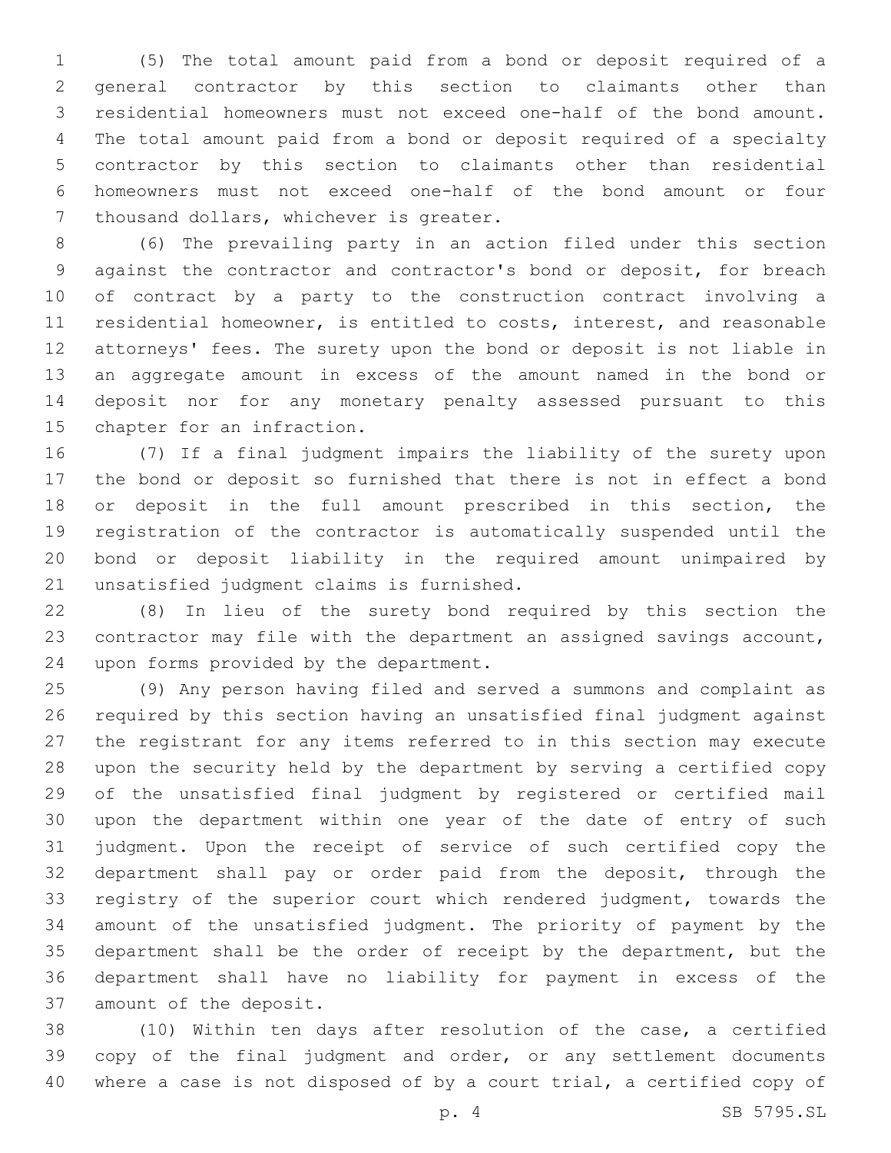(5) The total amount paid from a bond or deposit required of a general contractor by this section to claimants other than residential homeowners must not exceed one-half of the bond amount. The total amount paid from a bond or deposit required of a specialty contractor by this section to claimants other than residential homeowners must not exceed one-half of the bond amount or four 7 thousand dollars, whichever is greater.

 (6) The prevailing party in an action filed under this section against the contractor and contractor's bond or deposit, for breach of contract by a party to the construction contract involving a residential homeowner, is entitled to costs, interest, and reasonable attorneys' fees. The surety upon the bond or deposit is not liable in an aggregate amount in excess of the amount named in the bond or deposit nor for any monetary penalty assessed pursuant to this 15 chapter for an infraction.

 (7) If a final judgment impairs the liability of the surety upon the bond or deposit so furnished that there is not in effect a bond or deposit in the full amount prescribed in this section, the registration of the contractor is automatically suspended until the bond or deposit liability in the required amount unimpaired by 21 unsatisfied judgment claims is furnished.

 (8) In lieu of the surety bond required by this section the contractor may file with the department an assigned savings account, 24 upon forms provided by the department.

 (9) Any person having filed and served a summons and complaint as required by this section having an unsatisfied final judgment against the registrant for any items referred to in this section may execute upon the security held by the department by serving a certified copy of the unsatisfied final judgment by registered or certified mail upon the department within one year of the date of entry of such judgment. Upon the receipt of service of such certified copy the department shall pay or order paid from the deposit, through the registry of the superior court which rendered judgment, towards the amount of the unsatisfied judgment. The priority of payment by the department shall be the order of receipt by the department, but the department shall have no liability for payment in excess of the 37 amount of the deposit.

 (10) Within ten days after resolution of the case, a certified 39 copy of the final judgment and order, or any settlement documents where a case is not disposed of by a court trial, a certified copy of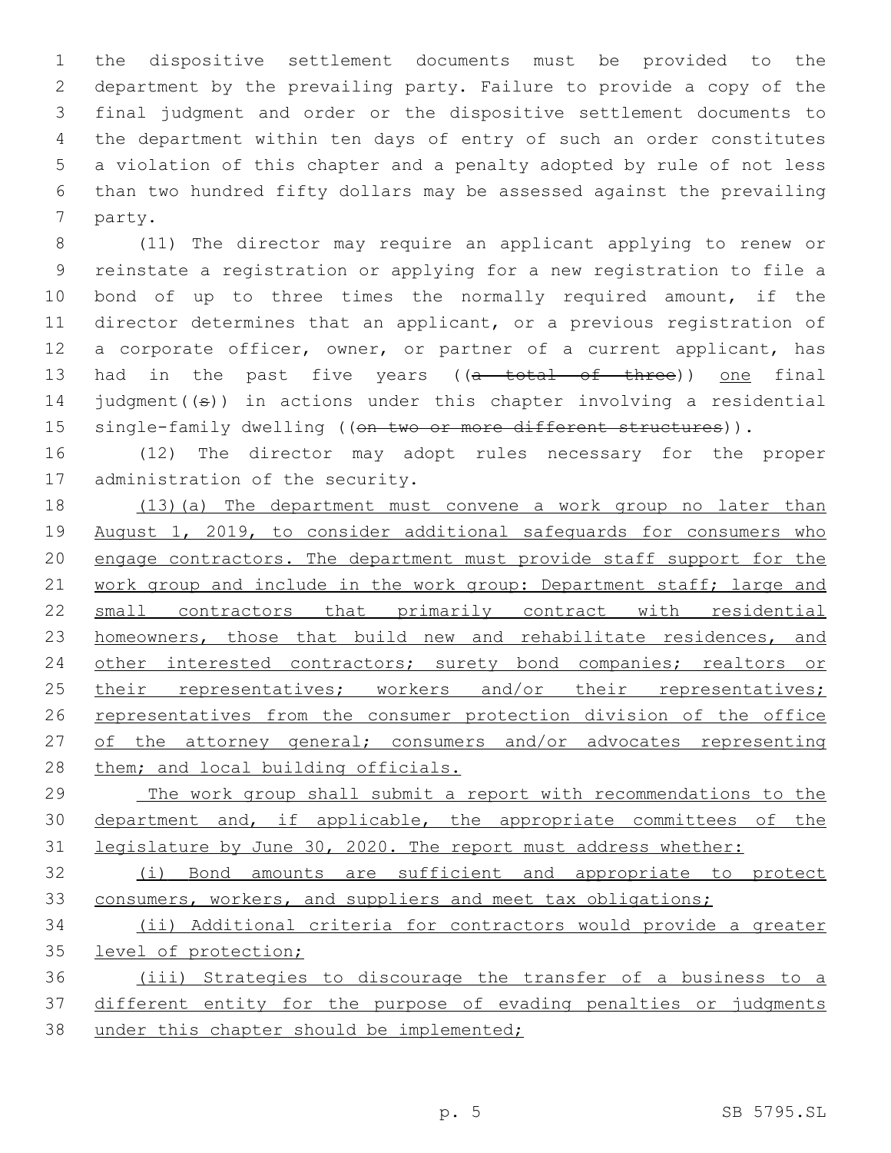the dispositive settlement documents must be provided to the department by the prevailing party. Failure to provide a copy of the final judgment and order or the dispositive settlement documents to the department within ten days of entry of such an order constitutes a violation of this chapter and a penalty adopted by rule of not less than two hundred fifty dollars may be assessed against the prevailing 7 party.

 (11) The director may require an applicant applying to renew or reinstate a registration or applying for a new registration to file a bond of up to three times the normally required amount, if the director determines that an applicant, or a previous registration of a corporate officer, owner, or partner of a current applicant, has 13 had in the past five years ((a total of three)) one final 14 judgment( $(\theta)$ ) in actions under this chapter involving a residential 15 single-family dwelling ((on two or more different structures)).

16 (12) The director may adopt rules necessary for the proper 17 administration of the security.

18 (13)(a) The department must convene a work group no later than 19 August 1, 2019, to consider additional safeguards for consumers who 20 engage contractors. The department must provide staff support for the 21 work group and include in the work group: Department staff; large and 22 small contractors that primarily contract with residential 23 homeowners, those that build new and rehabilitate residences, and 24 other interested contractors; surety bond companies; realtors or 25 their representatives; workers and/or their representatives; 26 representatives from the consumer protection division of the office 27 of the attorney general; consumers and/or advocates representing 28 them; and local building officials.

29 The work group shall submit a report with recommendations to the 30 department and, if applicable, the appropriate committees of the 31 legislature by June 30, 2020. The report must address whether:

32 (i) Bond amounts are sufficient and appropriate to protect 33 consumers, workers, and suppliers and meet tax obligations;

34 (ii) Additional criteria for contractors would provide a greater 35 level of protection;

36 (iii) Strategies to discourage the transfer of a business to a 37 different entity for the purpose of evading penalties or judgments 38 under this chapter should be implemented;